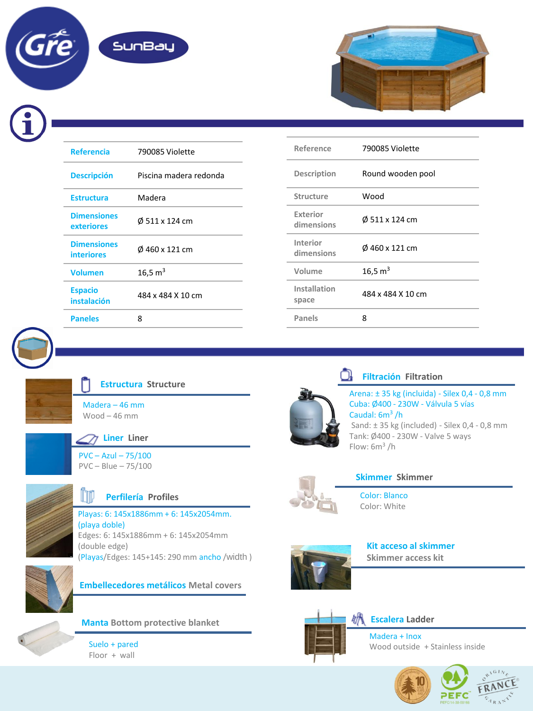



| <b>Referencia</b>                       | 790085 Violette        |  |
|-----------------------------------------|------------------------|--|
| <b>Descripción</b>                      | Piscina madera redonda |  |
| <b>Estructura</b>                       | Madera                 |  |
| <b>Dimensiones</b><br>exteriores        | Ø 511 x 124 cm         |  |
| <b>Dimensiones</b><br><b>interiores</b> | Ø 460 x 121 cm         |  |
| <b>Volumen</b>                          | 16,5 $m3$              |  |
| <b>Espacio</b><br>instalación           | 484 x 484 X 10 cm      |  |
| <b>Paneles</b>                          | 8                      |  |

| Reference                     | 790085 Violette     |  |
|-------------------------------|---------------------|--|
| Description                   | Round wooden pool   |  |
| <b>Structure</b>              | Wood                |  |
| <b>Exterior</b><br>dimensions | Ø 511 x 124 cm      |  |
| Interior<br>dimensions        | Ø 460 x 121 cm      |  |
| Volume                        | 16,5 m <sup>3</sup> |  |
| Installation<br>space         | 484 x 484 X 10 cm   |  |
| <b>Panels</b>                 | 8                   |  |





## **Estructura Structure**

Madera – 46 mm Wood – 46 mm



## **Liner Liner**

PVC – Azul – 75/100 PVC – Blue – 75/100



### m **Perfilería Profiles**

Playas: 6: 145x1886mm + 6: 145x2054mm. (playa doble) Edges: 6: 145x1886mm + 6: 145x2054mm (double edge) (Playas/Edges: 145+145: 290 mm ancho /width )



**Embellecedores metálicos Metal covers**



**Manta Bottom protective blanket**

Suelo + pared Floor + wall



#### )ł **Filtración Filtration**

Arena: ± 35 kg (incluida) - Silex 0,4 - 0,8 mm Cuba: Ø400 - 230W - Válvula 5 vías Caudal: 6m<sup>3</sup>/h Sand:  $\pm$  35 kg (included) - Silex 0,4 - 0,8 mm Tank: Ø400 - 230W - Valve 5 ways Flow: 6m<sup>3</sup> /h



# **Skimmer Skimmer**

Color: Blanco Color: White



**Kit acceso al skimmer Skimmer access kit**



## **Escalera Ladder**

Madera + Inox Wood outside + Stainless inside